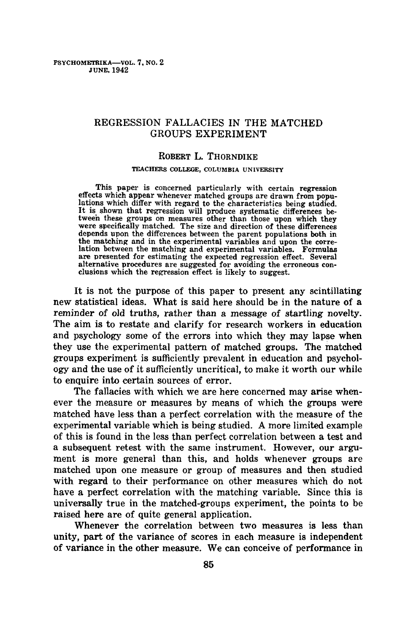# REGRESSION FALLACIES IN THE MATCHED GROUPS EXPERIMENT

### ROBERT L. THORNDIKE

### TEACHERS COLLEGE, COLUMBIA UNIVERSITY

This paper is concerned particularly with certain regression effects which appear whenever matched groups are drawn from populations which differ with regard to the characteristics being studied. It is shown that regression will produce systematic differences betweeh these groups on measures other than those upon which they were specifically matched. The size and direction of these differences depends upon the differences between the parent populations beth in the matching and in the experimental variables and upon the correlation between the matching and experimental variables. Formulas are presented for estimating the expected regression effect. Several alternative procedures are suggested for avoiding the erroneous conclusions which the regression effect is likely to suggest.

It is not the purpose of this paper to present any scintillating new statistical ideas. What is said here should be in the nature of a reminder of old truths, rather than a message of startling novelty. The aim is to restate and clarify for research workers in education and psychology some of the errors into which they may lapse when they use the experimental pattern of matched groups. The matched groups experiment is sufficiently prevalent in education and psychology and the use of it sufficiently uncritical, to make it worth our while to enquire into certain sources of error.

The fallacies with which we are here concerned may arise whenever the measure or measures by means of which the groups were matched have less than a perfect correlation with the measure of the experimental variable which is being studied. A more limited example of this is found in the less than perfect correlation between a test and a subsequent retest with the same instrument. However, our argument is more general than this, and holds whenever groups are matched upon one measure or group of measures and then studied with regard to their performance on other measures which do not have a perfect correlation with the matching variable. Since this is universally true in the matched-groups experiment, the points to be raised here are of quite general application.

Whenever the correlation between two measures is less than unity, part of the variance of scores in each measure is independent of variance in the other measure. We can conceive of performance in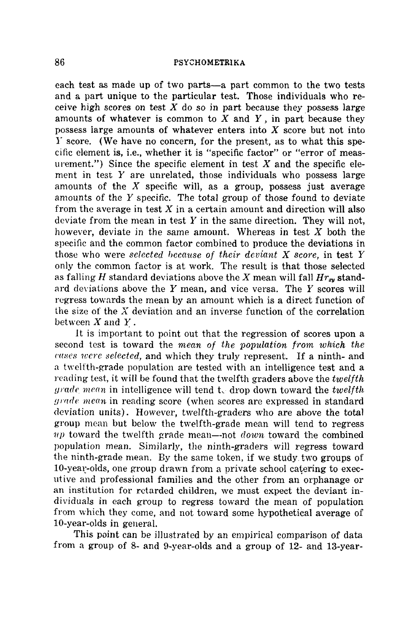each test as made up of two parts—a part common to the two tests and a part unique to the particular test. Those individuals who receive high scores on test  $X$  do so in part because they possess large amounts of whatever is common to  $X$  and  $Y$ , in part because they possess large amounts of whatever enters into  $X$  score but not into Y score. (We have no concern, for the present, as to what this specific element is, i.e., whether it is "specific factor" or "error of measurement.") Since the specific element in test  $X$  and the specific element in test  $Y$  are unrelated, those individuals who possess large amounts of the  $X$  specific will, as a group, possess just average amounts of the  $Y$  specific. The total group of those found to deviate from the average in test  $X$  in a certain amount and direction will also deviate from the mean in test  $Y$  in the same direction. They will not, however, deviate in the same amount. Whereas in test  $X$  both the specific and the common factor combined to produce the deviations in those who were *selected because of their deviant X score,* in test Y only the common factor is at work. The result is that those selected as falling H standard deviations above the X mean will fall  $Hr_{xy}$  standard deviations above the  $Y$  mean, and vice versa. The  $Y$  scores will regress towards the mean by an amount which is a direct function of the size of the  $X$  deviation and an inverse function of the correlation between  $X$  and  $Y$ .

It is important to point out that the regression of scores upon a second test is toward the *mean of the population from which the cases were selected,* and which they truly represent. If a ninth- and a twelfth-grade population are tested with an intelligence test and a reading test, it will be found that the twelfth graders above the *twelfth grade mec~n* in intelligence will tend t~ drop down toward the *twelfth grade mean* in reading score (when scores are expressed in standard deviation units). However, twelfth-graders who are above the total group mean but below the twelfth-grade mean will tend to regress vp toward the twelfth grade mean--not *down* toward the combined population mean. Similarly, the ninth-graders will regress toward the ninth-grade mean. By the same token, if we study, two groups of 10-year-olds, one group drawn from a private school catering to executive and professional families and the other from an orphanage or an institution for retarded children, we must expect the deviant individuals in each group to regress toward the mean of population from which they come, and not toward some hypothetical average of 10-year-olds in general.

This point can be illustrated by an empirical comparison of data from a group of 8- and 9-year-olds and a group of 12- and 13-year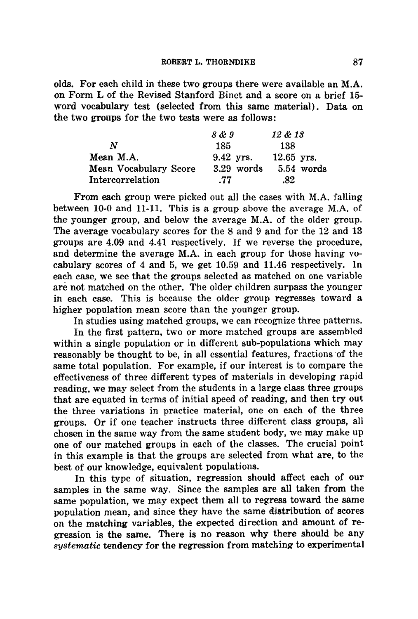olds. For each child in these two groups there were available an M.A. on Form L of the Revised Stanford Binet and a score on a brief 15 word vocabulary test (selected from this same material). Data on the two groups for the two tests were as follows:

|                       | 8 & 9       | 12 & 13      |
|-----------------------|-------------|--------------|
| N                     | 185         | 138          |
| Mean M.A.             | $9.42$ vrs. | $12.65$ yrs. |
| Mean Vocabulary Score | 3.29 words  | 5.54 words   |
| Intercorrelation      | .77         | .82          |

From each group were picked out all the cases with M.A. falling between 10-0 and 11-11. This is a group above the average M.A. of the younger group, and below the average M.A. of the older group. The average vocabulary scores for the 8 and 9 and for the 12 and 13 groups are 4.09 and 4.41 respectively. If we reverse the procedure, and determine the average M.A. in each group for those having vocabulary scores of 4 and 5, we get 10.59 and 11.46 respectively. In each case, we see that the groups selected as matched on one variable are not matched on the other. The older children surpass the younger in each case. This is because the older group regresses toward a higher population mean score than the younger group.

In studies using matched groups, we can recognize three patterns.

In the first pattern, two or more matched groups are assembled within a single population or in different sub-populations which may reasonably be thought to be, in all essential features, fractions 'of the same total population. For example, if our interest is to compare the effectiveness of three different types of materials in developing rapid reading, we may select from the students in a large class three groups that are equated in terms of initial speed of reading, and then try out the three variations in practice material, one on each of the three groups. Or if one teacher instructs three different class groups, all chosen in the same way from the same student body, we may make up one of our matched groups in each of the classes. The crucial point in this example is that the groups are selected from what are, to the best of our knowledge, equivalent populations.

In this type of situation, regression should affect each of our samples in the same way. Since the samples are all taken from the same population, we may expect them all to regress toward the same population mean, and since they have the same distribution of scores on the matching variables, the expected direction and amount of regression is the same. There is no reason why there should be any *systematic* tendency for the regression from matching to experimental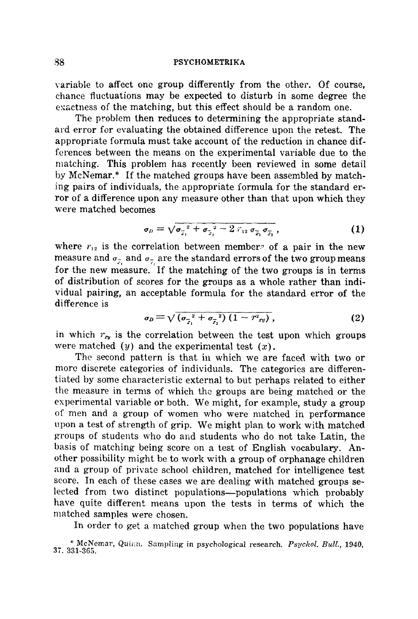variable to affect one group differently from the other. Of course, chance fluctuations may be expected to disturb in some degree the exactness of the matching, but this effect should be a random one.

The problem then reduces to determining the appropriate standard error for evaluating the obtained difference upon the retest. The appropriate formula must take account of the reduction in chance differences between the means on the experimental variable due to the matching. This problem has recently been reviewed in some detail by McNemar.\* If the matched groups have been assembled by matching pairs of individuals, the appropriate formula for the standard error of a difference upon any measure other than that upon which they were matched becomes

$$
\sigma_D = \sqrt{\sigma_{\overline{x}_1}^2 + \sigma_{\overline{x}_2}^2 - 2 \, r_{12} \, \sigma_{\overline{x}_1} \sigma_{\overline{x}_2}} \,, \tag{1}
$$

where  $r_{12}$  is the correlation between members of a pair in the new measure and  $\sigma_{\bar{r}_i}$  and  $\sigma_{\bar{r}_i}$  are the standard errors of the two group means for the new measure. If the matching of the two groups is in terms of distribution of scores for the groups as a whole rather than individual pairing, an acceptable formula for the standard error of the difference is

$$
\sigma_D = \sqrt{(\sigma_{\overline{x}_1}^2 + \sigma_{\overline{x}_2}^2)(1 - r^2_{xy})}, \qquad (2)
$$

in which  $r_{xy}$  is the correlation between the test upon which groups were matched  $(y)$  and the experimental test  $(x)$ .

The second pattern is that in which we are faced with two or more discrete categories of individuals. The categories are differentiated by some characteristic external to but perhaps related to either the measure in terms of which the groups are being matched or the experimental variable or both. We might, for example, study a group of men and a group of women who were matched in performance upon a test of strength of grip. We might plan to work with matched groups of students who do and students who do not take Latin, the basis of matching being score on a test of English vocabulary. Another possibility might be to work with a group of orphanage children and a group of private school children, matched for intelligence test score. In each of these cases we are dealing with matched groups selected from two distinct populations—populations which probably have quite different means upon the tests in terms of which the matched samples were chosen.

In order to get a matched group when the two populations have

<sup>\*</sup> McNemar, Quinn. Sampling in psychological research. Psychol. Bull., 1940, 37, 331-365.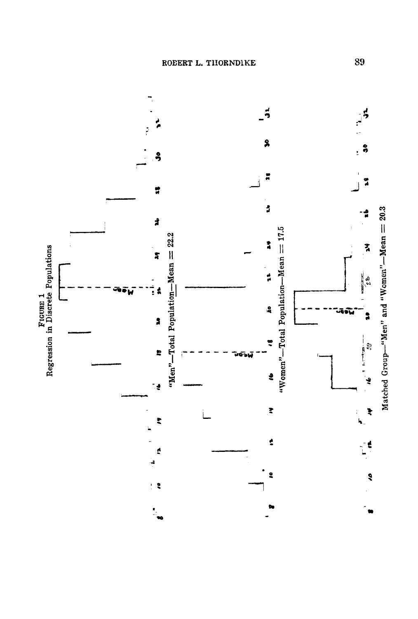

89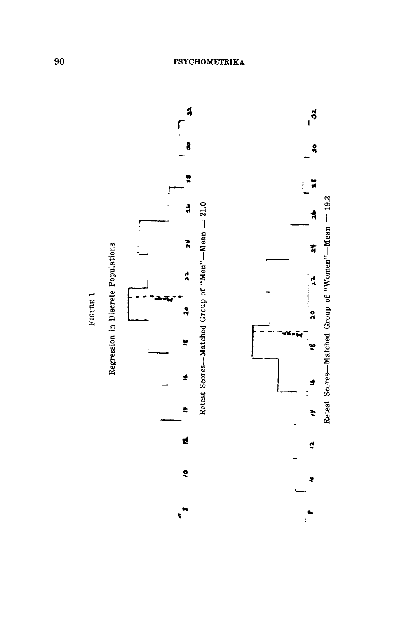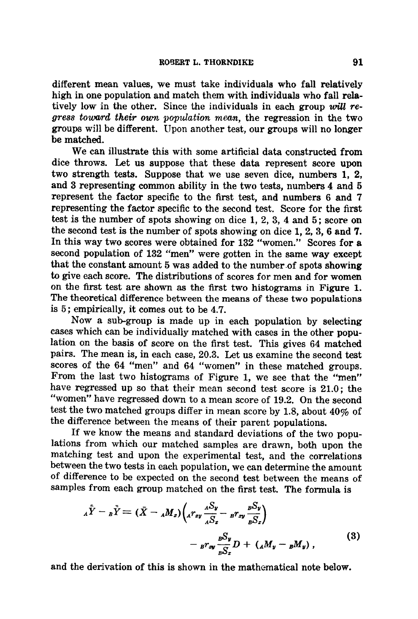different mean values, we must take individuals who fall relatively high in one population and match them with individuals who fall relatively low in the other. Since the individuals in each group  $will$  regress toward their own population mean, the regression in the two groups will be different. Upon another test, our groups will no longer be matched.

We can illustrate this with some artificial data constructed from dice throws. Let us suppose that these data represent score upon two strength tests. Suppose that we use seven dice, numbers 1, 2, and 3 representing common ability in the two tests, numbers 4 and 5 represent the factor specific to the first test, and numbers 6 and 7 representing the factor specific to the second test. Score for the first test is the number of spots showing on dice 1, 2, 3, 4 and 5; score on the second test is the number of spots showing on dice 1, 2, 3, 6 and 7. In this way two scores were obtained for 132 "women." Scores for a second population of 132 "men" were gotten in the same way except that the constant amount 5 was added to the number of spots showing to give each score. The distributions of scores for men and for women on the first test are shown as the first two histograms in Figure 1. The theoretical difference between the means of these two populations is 5; empirically, it comes out to be 4.7.

Now a sub-group is made up in each population by selecting cases which can be individually matched with cases in the other population on the basis of score on the first test. This gives 64 matched pairs. The mean is, in each case, 20.3. Let us examine the second test scores of the 64 "men" and 64 "women" in these matched groups. From the last two histograms of Figure 1, we see that the "men" have regressed up so that their mean second test score is 21.0; the "women" have regressed down to a mean score of 19.2. On the second test the two matched groups differ in mean score by 1.8, about 40% of the difference between the means of their parent populations.

If we know the means and standard deviations of the two populations from which our matched samples are drawn, both upon the matching test and upon the experimental test, and the correlations between the two tests in each population, we can determine the amount of difference to be expected on the second test between the means of samples from each group matched on the first test. The formula is

$$
{}_{A}\tilde{Y} - {}_{B}\tilde{Y} = (\bar{X} - {}_{A}M_{z}) \Big( {}_{A}r_{zy} \frac{{}_{A}S_{y}}{{}_{A}S_{z}} - {}_{B}r_{zy} \frac{{}_{B}S_{y}}{{}_{B}S_{z}} \Big) - {}_{B}r_{zy} \frac{{}_{B}S_{y}}{{}_{B}S_{z}} D + ({}_{A}M_{y} - {}_{B}M_{y}),
$$
 (3)

and the derivation of this is shown in the mathematical note below.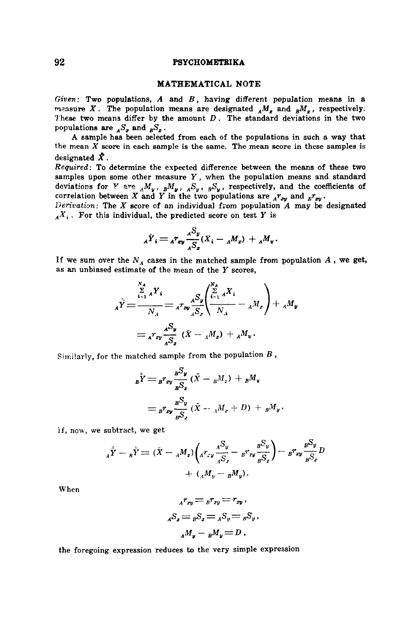### MATHEMATICAL NOTE

*Given:* Two populations, A and *B,* having different population means in a measure X. The population means are designated  $_{A}M_{z}$  and  $_{B}M_{z}$ , respectively. These two means differ by the amount  $D$ . The standard deviations in the two populations are  $_{A}S_{x}$  and  $_{B}S_{x}$ .

A sample has been selected from each of the populations in such a way that the mean  $X$  score in each sample is the same. The mean score in these samples is designated  $\mathbf{\hat{X}}$ .

*Required:* To determine the expected difference between the means of these two samples upon some other measure  $Y$ , when the population means and standard deviations for Y are  $_{A}M_{u}$ ,  $_{B}M_{u}$ ,  $_{A}S_{u}$ ,  $_{B}S_{u}$ , respectively, and the coefficients of correlation between X and Y in the two populations are  ${}_{A}r_{xy}$  and  ${}_{B}r_{xy}$ .

*Derivation.* The X score cf an individual from population A may be designated  $_A X_i$ . For this individual, the predicted score on test Y is

$$
{}_{A}\dot{Y}_{i} = {}_{A}r_{\sigma y}\frac{{}_{A}S_{y}}{{}_{A}S_{z}}(X_{i}-{}_{A}M_{x}) + {}_{A}M_{y}.
$$

If we sum over the  $N_A$  cases in the matched sample from population  $A$ , we get, as an unbiased estimate of the mean of the Y scores,

$$
A\tilde{Y} = \frac{\sum_{i=1}^{N_A} X_i}{N_A} = A^T \mathbf{w} \frac{dS_y}{dS_x} \left( \frac{\sum_{i=1}^{N_A} X_i}{N_A} - A^M \mathbf{w} \right) + A^M \mathbf{w}
$$
  
=  $A^T \mathbf{w} \frac{dS_y}{dS_x} \left( \tilde{X} - A^M \mathbf{w} \right) + A^M \mathbf{w}$ .

Similarly, for the matched sample from the population  $B$ ,

$$
B\dot{Y} = B r_{xy} \frac{B S_y}{B S_x} (\dot{X} - B M_x) + B M_y
$$
  
= 
$$
B r_{xy} \frac{B S_y}{B S_x} (\dot{X} - A M_x + D) + B M_y.
$$

if, now, we subtract, we get

$$
A_{A}\tilde{Y} - B_{B}\tilde{Y} = (\tilde{X} - A_{A}M_{z})\left(A_{xy} \frac{A_{xy}^{S} - B_{xy}^{S}}{A_{xy}^{S}} - B_{xy} \frac{B_{xy}^{S}}{B_{xy}^{S}}\right) - B_{xy} \frac{B_{xy}^{S}}{B_{xy}^{S}} + \left(A_{xy}M_{y} - B_{xy}M_{y}\right).
$$

When

$$
Ar_{xy} = Br_{xy} = r_{xy},
$$
  

$$
AS_{x} = BS_{x} = AS_{y} = BS_{y},
$$
  

$$
AM_{y} - BM_{y} = D,
$$

the foregoing expression reduces to the very simple expression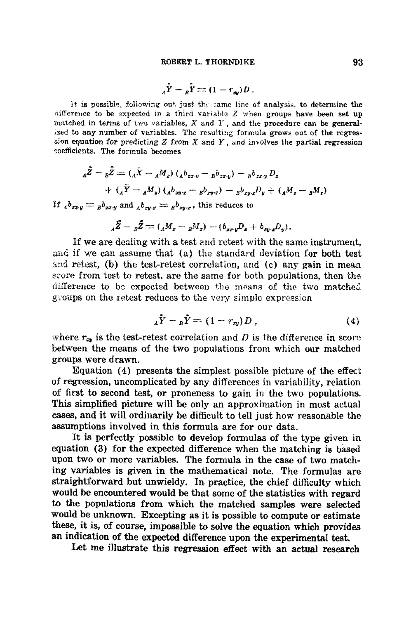$$
A\overset{\circ}{Y} - B\overset{\circ}{Y} = (1 - r_{xy})D.
$$

It is possible, following out just the same line of analysis, to determine the difference to be expected in a third variable  $Z$  when groups have been set up matched in terms of two variables,  $X$  and  $Y$ , and the procedure can be generalized to any number of variables. The resulting formula grows out of the regres sion equation for predicting Z from X and Y, and involves the partial regression coefficients, The formula becomes

$$
{}_{A}\tilde{Z} -{}_{B}\tilde{Z} = ({}_{A}\tilde{X} - {}_{A}M_{x}) ({}_{A}b_{zx,y} - {}_{B}b_{zx,y}) - {}_{B}b_{zx,y}D_{x}
$$
  
+ 
$$
({}_{A}\tilde{Y} - {}_{A}M_{y}) ({}_{A}b_{zy,z} - {}_{B}b_{zy,z}) - {}_{B}b_{zy,z}D_{y} + ({}_{A}M_{z} - {}_{B}M_{z})
$$

If  $_{A}b_{zx,y} =_{B}b_{zx,y}$  and  $_{A}b_{zy,x} =_{B}b_{zy,x}$ , this reduces to

$$
{}_{4}\tilde{Z}-{}_{5}\tilde{Z}=({}_{4}M_{z}-{}_{B}M_{z})-(b_{zz}{}_{y}D_{x}+b_{zy}{}_{x}D_{y}).
$$

If we are dealing with a test *and* retest with the same instrument, and if we can assume that (a) the standard deviation for both test and retest, (b) the test-retest correlation, and (c) any gain in mean score from test to retest, are the same for both populations, then the difference to be expected between the means of the two matched groups on the retest reduces to the very simple expression

$$
A\bar{Y} - B\bar{Y} = (1 - r_{xy})D , \qquad (4)
$$

where  $r_{xy}$  is the test-retest correlation and D is the difference in score between the means of the two populations from which our matched groups were drawn.

Equation (4) presents the simplest possible picture of the effect of regression, uncomplicated by any differences in variability, relation of first to second test, or proneness to gain in the two populations. This simplified picture will be only an approximation in most actual cases, and it will ordinarily be difficult to tell just how reasonable the assumptions involved in this formula are for our data.

It is perfectly possible to develop formulas of the type given in equation (3) for the expected difference when the matching is based upon two or more variables. The formula in the case of two matching variables is given in the mathematical note. The formulas are straightforward but unwieldy. In. practice, the chief difficulty which would be encountered would be that some of the statistics with regard to the populations from which the matched samples were selected would be unknown. Excepting as it is possible to compute or estimate these, it is, of course, impossible to solve the equation which provides an indication of the expected difference upon the experimental test.

Let me illustrate this regression effect with an actual research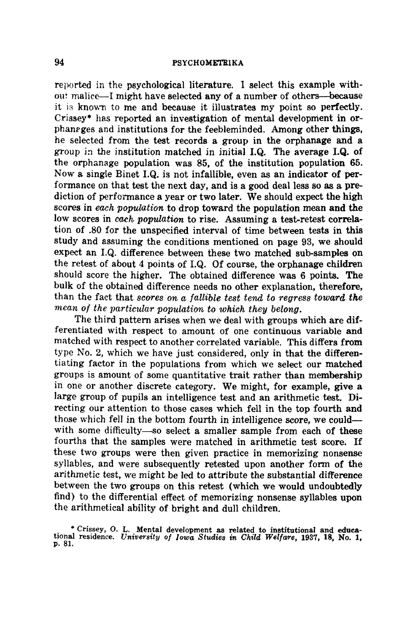reported in the psychological literature. I select this example withou: malice-I might have selected any of a number of others-because it is known to me and because it illustrates my point so perfectly. Crissey\* has reported an investigation of mental development in orphaneges and institutions for the feebleminded. Among other things, he selected from the test records a group in the orphanage and a group in the institution matched in initial I.Q. The average I.Q. of the orphanage population was 85, of the institution population 65. Now a single Binet I.Q. is not infallible, even as an indicator of performance on that test the next day, and is a good deal less so as a prediction of performance a year or two later. We should expect the high scores in *each population* to drop toward the population mean and the low scores in *each population to* rise. Assuming a test-retest correlation of .80 for the unspecified interval of time between tests in this study and assuming the conditions mentioned on page 93, we should expect an I.Q. difference between these two matched sub-samples on the retest of about 4 points of I.Q. Of course, the orphanage children should score the higher. The obtained difference was 6 points. The bulk of the obtained difference needs no other explanation, therefore, than the fact that *scores on a fallible test tend to regress toward the mean of the particular population to which they belong.* 

The third pattern arises when we deal with groups which are differentiated with respect to amount of one continuous variable and matched with respect to another correlated variable. This differs from type No. 2, which we have just considered, only in that the differentiating factor in the populations from which we select our matched groups is amount of some quantitative trait rather than membership in one or another discrete category. We might, for example, give a large group of pupils an intelligence test and an arithmetic test. Directing our attention to those cases which fell in the top fourth and those which fell in the bottom fourth in intelligence score, we could with some difficulty-so select a smaller sample from each of these fourths that the samples were matched in arithmetic test score. If these two groups were then given practice in memorizing nonsense syllables, and were subsequently retested upon another form of the arithmetic test, we might be led to attribute the substantial difference between the two groups on this retest (which we would undoubtedly find) to the differential effect of memorizing nonsense syllables upon the arithmetical ability of bright and dull children.

<sup>\*</sup> Crissey, O. L. Mental development as related to institutional and educational residence. *University of Iowa Studies in Child Welfaze,* 1937, 18, No. 1, p. 81.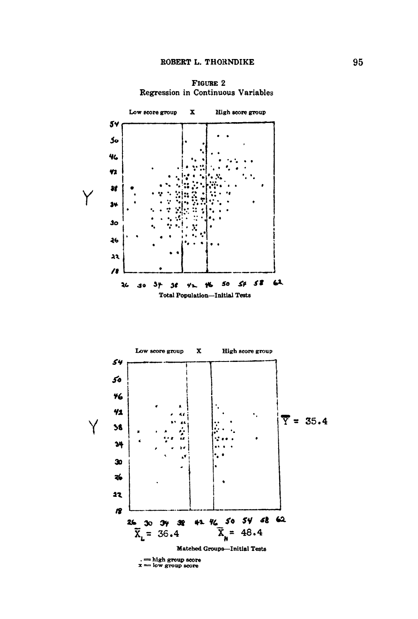**FIGURE 2** Regression in Continuous Variables



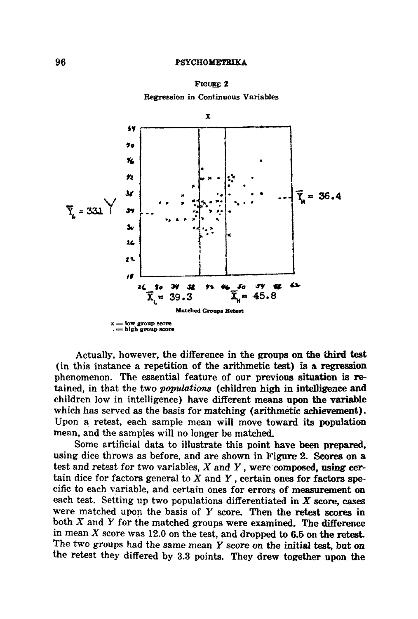

Regression in Continuous Variables



Actually, however, the difference in the groups on the third test (in this instance a repetition of the arithmetic test) is a regresaion phenomenon. The essential feature of our previous situation is retained, in that the two *populations* (children high in intelligence and children low in intelligence) have different means upon the variable which has served as the basis for matching (arithmetic achievement). Upon a retest, each sample mean will move toward its population mean, and the samples will no longer be matched.

Some artificial data to illustrate this point have been prepared, using dice throws as before, and are shown in Figure 2. Scores on a test and retest for two variables,  $X$  and  $Y$ , were composed, using certain dice for factors general to  $X$  and  $Y$ , certain ones for factors specific to each variable, and certain ones for errors of measurement on each test. Setting up two populations differentiated in  $X$  score, cases were matched upon the basis of Y score. Then the retest scores in both  $X$  and  $Y$  for the matched groups were examined. The difference in mean  $X$  score was 12.0 on the test, and dropped to 6.5 on the retest. The two groups had the same mean  $Y$  score on the initial test, but on the retest they differed by 3.3 points. They drew together upon the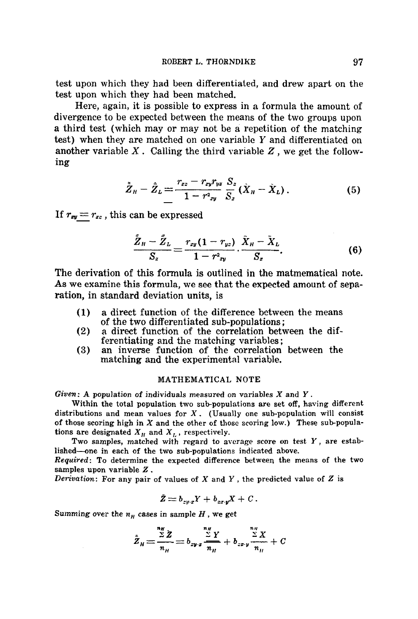test upon which they had been differentiated, and drew apart on the test upon which they had been matched.

Here, again, it is possible to express in a formula the amount of divergence to be expected between the means of the two groups upon a third test {which may or may not be a repetition of the matching test) when they are matched on one variable Y and differentiated on another variable  $X$ . Calling the third variable  $Z$ , we get the following

$$
\tilde{Z}_H - \tilde{Z}_L = \frac{r_{xz} - r_{xy}r_{yz}}{1 - r^2_{xy}} \frac{S_z}{S_z} (\tilde{X}_H - \tilde{X}_L).
$$
 (5)

If  $r_{xy} = r_{xz}$ , this can be expressed

$$
\frac{\tilde{Z}_H - \tilde{Z}_L}{S_z} = \frac{r_{xy}(1 - r_{yz})}{1 - r_{zy}^2} \cdot \frac{\tilde{X}_H - \tilde{X}_L}{S_x}.
$$
 (6)

The derivation of this formula is outlined in the matmematical note. As we examine this formula, we see that the expected amount of separation, in standard deviation units, is

- (1) a direct function of the difference between the means of the two differentiated sub-populations;
- (2) a direct function of the correlation between the differentiating and the matching variables;
- (3) an inverse function of the correlation between the matching and the experimental variable.

#### MATHEMATICAL NOTE

 $Given: A population of individuals measured on variables X and Y.$ 

Within the total population two sub-populations are set off, having different distributions and mean values for  $X$ . (Usually one sub-population will consist of those scoring high in  $X$  and the other of those scoring low.) These sub-populations are designated  $X_H$  and  $X_L$ , respectively.

Two samples, matched with regard to average score on test  $Y$ , are established—one in each of the two sub-populations indicated above.

*Required:* To determine the expected difference between the means of the two samples upon variable Z.

*Derivation:* For any pair of values of X and Y, the predicted value of Z is

$$
\tilde{Z}=b_{zw\cdot x}Y+b_{zx\cdot y}X+C\,.
$$

Summing over the  $n_H$  cases in sample  $H$ , we get

$$
\hat{Z}_H = \frac{\sum\limits_{n_H}^{n_H} \hat{Z}}{n_H} = b_{zy \cdot z} \frac{\sum\limits_{n_H}^{n_H} Y}{n_H} + b_{zx \cdot y} \frac{\sum\limits_{n_H}^{n_H} X}{n_H} + C
$$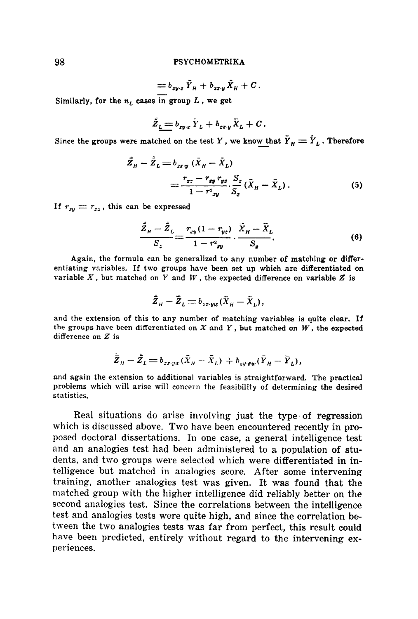$$
= b_{zy\cdot z} \, \bar{Y}_H + b_{zz\cdot y} \, \bar{X}_H + C \, .
$$

Similarly, for the  $n_L$  cases in group  $L$ , we get

$$
\bar{Z}_{\underline{L}} = b_{zy \cdot z} \, \bar{Y}_L + b_{zz \cdot y} \, \bar{X}_L + C \, .
$$

Since the groups were matched on the test Y, we know that  $\tilde{Y}_H = \tilde{Y}_L$ . Therefore

$$
\begin{split} \vec{Z}_H - \dot{\vec{Z}}_L &= b_{zz \cdot y} \left( \bar{X}_H - \bar{X}_L \right) \\ &= \frac{r_{zz} - r_{zy} \cdot r_{yz}}{1 - r_{zy}^2} \cdot \frac{S_z}{S_z} \left( \bar{X}_H - \bar{X}_L \right). \end{split} \tag{5}
$$

If  $r_{xy} = r_{xz}$ , this can be expressed

$$
\frac{\bar{Z}_H - \bar{Z}_L}{S_z} = \frac{r_{xy}(1 - r_{yz})}{1 - r_{zy}^2} \cdot \frac{\bar{X}_H - \bar{X}_L}{S_z}.
$$
\n(6)

Again, the formula can be generalized to any number of matching or differentiating variables. If two groups have been set up which are differentiated on variable  $X$ , but matched on  $Y$  and  $W$ , the expected difference on variable  $Z$  is

$$
\bar{\tilde{Z}}_H - \bar{\tilde{Z}}_L = b_{z \cdot z \cdot yw} (\bar{X}_H - \bar{X}_L),
$$

and the extension of this to any number of matching variables is quite clear. If the groups have been differentiated on X and Y, but matched on W, **the expected**  difference on Z is

$$
\dot{\bar{Z}}_{\scriptscriptstyle H}-\dot{\bar{Z}}_{\scriptscriptstyle L}=b_{zxyw}(\bar{X}_{\scriptscriptstyle H}-\bar{X}_{\scriptscriptstyle L})+b_{zy\cdot xw}(\bar{Y}_{\scriptscriptstyle H}-\bar{Y}_{\scriptscriptstyle L}),
$$

and again the extension to additional variables is straightforward. The practical problems which will arise will concern the feasibility of determining the desired statistics.

Real situations do arise involving just the type of regression which is discussed above. Two have been encountered recently in proposed doctoral dissertations. In one case, a general intelligence test and an analogies test had been administered to a population of students, and two groups were selected which were differentiated in intelligence but matched in analogies score. After some intervening training, another analogies test was given. It was found that the matched group with the higher intelligence did reliably better on the second analogies test. Since the correlations between the intelligence test and analogies tests were quite high, and since the correlation between the two analogies tests was far from perfect, this result could have been predicted, entirely without regard to the intervening experiences.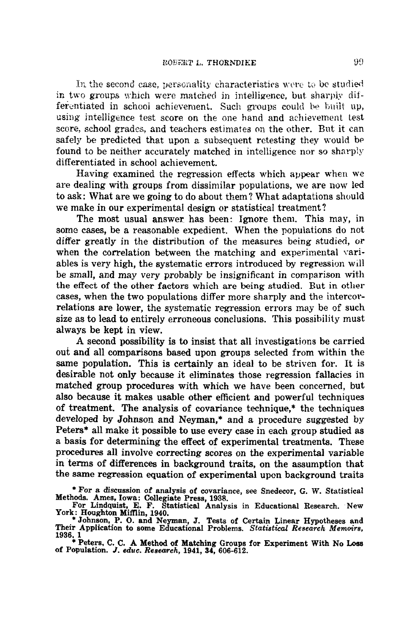In the second case, personality characteristics were to be studied in two groups which were matched in intelligence, but sharply diiferentiated in school achievement. Such groups could be built up, using intelligence test score on the one hand and achievement test score, school grades, and teachers estimates on the other. But it can safely be predicted that upon a subsequent retesting they would be. found to be neither accurately matched in intelligence nor so sharply differentiated in school achievement.

Having examined the regression effects which appear when we are dealing with groups from dissimilar populations, we are now led to ask: What are we going to do about them ? What adaptations should we make in our experimental design or statistical treatment?

The most usual answer has been: Ignore them. This may, in some cases, be a reasonable expedient. When the populations do not differ greatly in the distribution of the measures being studied, or when the correlation between the matching and experimental variables is very high, the systematic errors introduced by regression will be small, and may very probably be insignificant in comparison with the effect of the other factors which are being studied. But in other cases, when the two populations differ more sharply and the intercorrelations are lower, the systematic regression errors may be of such size as to lead to entirely erroneous conclusions. This possibility must always be kept in view.

A second possibility is to insist that all investigations be carried out and all comparisons based upon groups selected from within the same population. This is certainly an ideal to be striven for. It is desirable not only because it eliminates those regression fallacies in matched group procedures with which we have been concerned, but also because it makes usable other efficient and powerful techniques of treatment. The analysis of covariance technique,\* the techniques developed by Johnson and Neyman,\* and a procedure suggested by Peters\* all make it possible to use every case in each group studied as a basis for determining the effect of experimental treatments. These procedures all involve correcting scores on the experimental variable in terms of differences in background traits, on the assumption that the same regression equation of experimental upon background traits

\* For a discussion of analysis of covariance, see Snedecor, G. W. Statistical **Methods. Ames, Iowa: Collegiate Press,** 1938.

\* Peters, C. C. A Method of Matching Groups for Experiment With No Loss of Population. *J. educ. Research*, 1941, 34, 606-612.

**For Lindquist, E. F. Statistical Analysis in Educational Research. New York: Houghton Mifflin,** 1940.

<sup>\*</sup> Johnson, P. O. and Neyman, J. Tests of Certain Linear Hypotheses and Their Application to some Educational Problems. *Statistical Research Memoirs,*  1936. **1**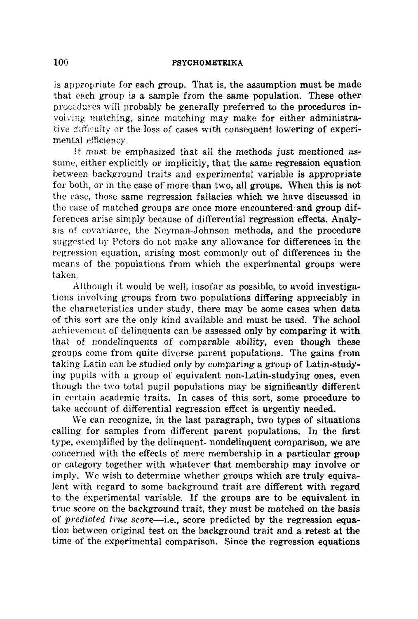is appropriate for each group. That is, the assumption must be made that each group is a sample from the same population. These other procedures will probably be generally preferred to the procedures in volving matching, since matching may make for either administrative difficulty or the loss of cases with consequent lowering of experimental efficiency.

It must be emphasized that all the methods just mentioned assume, either explicitly or implicitly, that the same regression equation between background traits and experimental variable is appropriate for both, or in the case of more than two, all groups. When this is not the case, those same regression fallacies which we have discussed in the case of matched groups are once more encountered and group differences arise simply because of differential regression effects. Analysis of covariance, the Neyman-Johnson methods, and the procedure suggested by Peters do not make any allowance for differences in the regression equation, arising most commonly out of differences in the means of the populations from which the experimental groups were taken.

Although it would be well, insofar as possible, to avoid investigations involving groups from two populations differing appreciably in the characteristics under study, there may be some cases when data of this sort are the only kind available and must be used. The school achievement of delinquents can be assessed only by comparing it with that of nondelinquents of comparable ability, even though these groups come from quite diverse parent populations. The gains from taking Latin can be studied only by comparing a group of Latin-studying pupils with a group of equivalent non-Latin-studying ones, even though the two total pupil populations may be significantly different in certain academic traits. In cases of this sort, some procedure to take account of differential regression effect is urgently needed.

We can recognize, in the last paragraph, two types of situations calling for samples from different parent populations. In the first type, exemplified by the delinquent- nondelinquent comparison, we are concemmd with the effects of mere membership in a particular group or category together with whatever that membership may involve or imply. We wish to determine whether groups which are truly equivalent with regard to some background trait are different with regard to the experimental variable. If the groups are to be equivalent in true score on the background trait, they must be matched on the basis of *predicted true score--i.e.,* score predicted by the regression equation between original test on the background trait and a retest at the time of the experimental comparison. Since the regression equations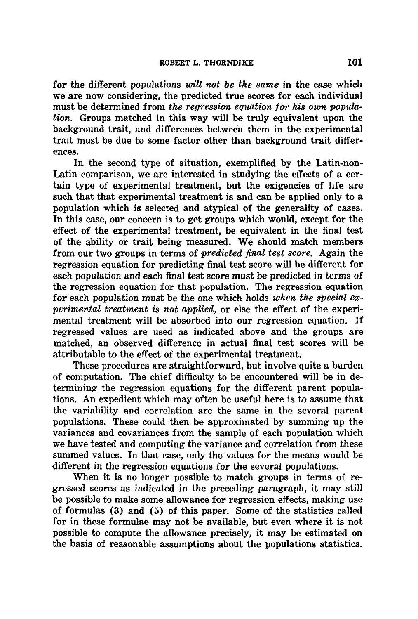for the different populations *will not be the same* in the case which we are now considering, the predicted true scores for each individual must be determined from *the regression equation for his own population.* Groups matched in this way will be truly equivalent upon the background trait, and differences between them in the experimental trait must be due to some factor other than background trait differences.

In the second type of situation, exemplified by the Latin-non-Latin comparison, we are interested in studying the effects of a certain type of experimental treatment, but the exigencies of life are such that that experimental treatment is and can be applied only to a population which is selected and atypical of the generality of cases. In this case, our concern is to get groups which would, except for the effect of the experimental treatment, be equivalent in the final test of the ability or trait being measured. We should match members from our two groups in terms of *predicted final test score.* Again the regression equation for predicting final test score will be different for each population and each final test score must be predicted in terms of the regression equation for that population. The regression equation for each population must be the one which holds *when the special experimental treatment is not applied,* or else the effect of the experimental treatment will be absorbed into our regression equation. If regressed values are used as indicated above and the groups are matched, an observed difference in actual final test scores will be attributable to the effect of the experimental treatment.

These procedures are straightforward, but involve quite a burden of computation. The chief difficulty to be encountered will be in determining the regression equations for the different parent populations. An expedient which may often be useful here is to assume that the variability and correlation are the same in the several parent populations. These could then be approximated by summing up the variances and covariances from the sample of each population which we have tested and computing the variance and correlation from these summed values. In that case, only the values for the means would be different in the regression equations for the several populations.

When it is no longer possible to match groups in terms of regressed scores as indicated in the preceding paragraph, it may still be possible to make some allowance for regression effects, making use of formulas (3) and (5) of this paper. Some of the statistics called for in these formulae may not be available, but even where it is not possible to compute the allowance precisely, it may be estimated on the basis of reasonable assumptions about the populations statistics.